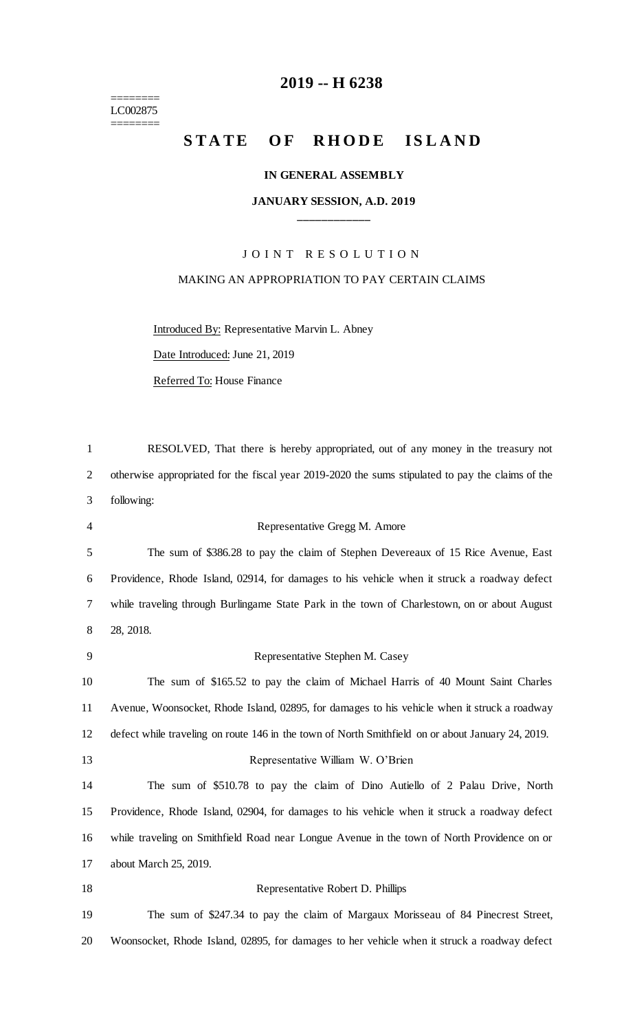======== LC002875 ========

# **-- H 6238**

### STATE OF RHODE ISLAND

#### **IN GENERAL ASSEMBLY**

### **JANUARY SESSION, A.D. 2019 \_\_\_\_\_\_\_\_\_\_\_\_**

## JOINT RESOLUTION MAKING AN APPROPRIATION TO PAY CERTAIN CLAIMS

Introduced By: Representative Marvin L. Abney Date Introduced: June 21, 2019 Referred To: House Finance

| $\mathbf{1}$   | RESOLVED, That there is hereby appropriated, out of any money in the treasury not                 |
|----------------|---------------------------------------------------------------------------------------------------|
| $\overline{2}$ | otherwise appropriated for the fiscal year 2019-2020 the sums stipulated to pay the claims of the |
| 3              | following:                                                                                        |
| 4              | Representative Gregg M. Amore                                                                     |
| 5              | The sum of \$386.28 to pay the claim of Stephen Devereaux of 15 Rice Avenue, East                 |
| 6              | Providence, Rhode Island, 02914, for damages to his vehicle when it struck a roadway defect       |
| $\tau$         | while traveling through Burlingame State Park in the town of Charlestown, on or about August      |
| 8              | 28, 2018.                                                                                         |
| 9              | Representative Stephen M. Casey                                                                   |
| 10             | The sum of \$165.52 to pay the claim of Michael Harris of 40 Mount Saint Charles                  |
| 11             | Avenue, Woonsocket, Rhode Island, 02895, for damages to his vehicle when it struck a roadway      |
| 12             | defect while traveling on route 146 in the town of North Smithfield on or about January 24, 2019. |
| 13             | Representative William W. O'Brien                                                                 |
| 14             | The sum of \$510.78 to pay the claim of Dino Autiello of 2 Palau Drive, North                     |
| 15             | Providence, Rhode Island, 02904, for damages to his vehicle when it struck a roadway defect       |
| 16             | while traveling on Smithfield Road near Longue Avenue in the town of North Providence on or       |
| 17             | about March 25, 2019.                                                                             |
| 18             | Representative Robert D. Phillips                                                                 |
| 19             | The sum of \$247.34 to pay the claim of Margaux Morisseau of 84 Pinecrest Street,                 |
| 20             | Woonsocket, Rhode Island, 02895, for damages to her vehicle when it struck a roadway defect       |
|                |                                                                                                   |